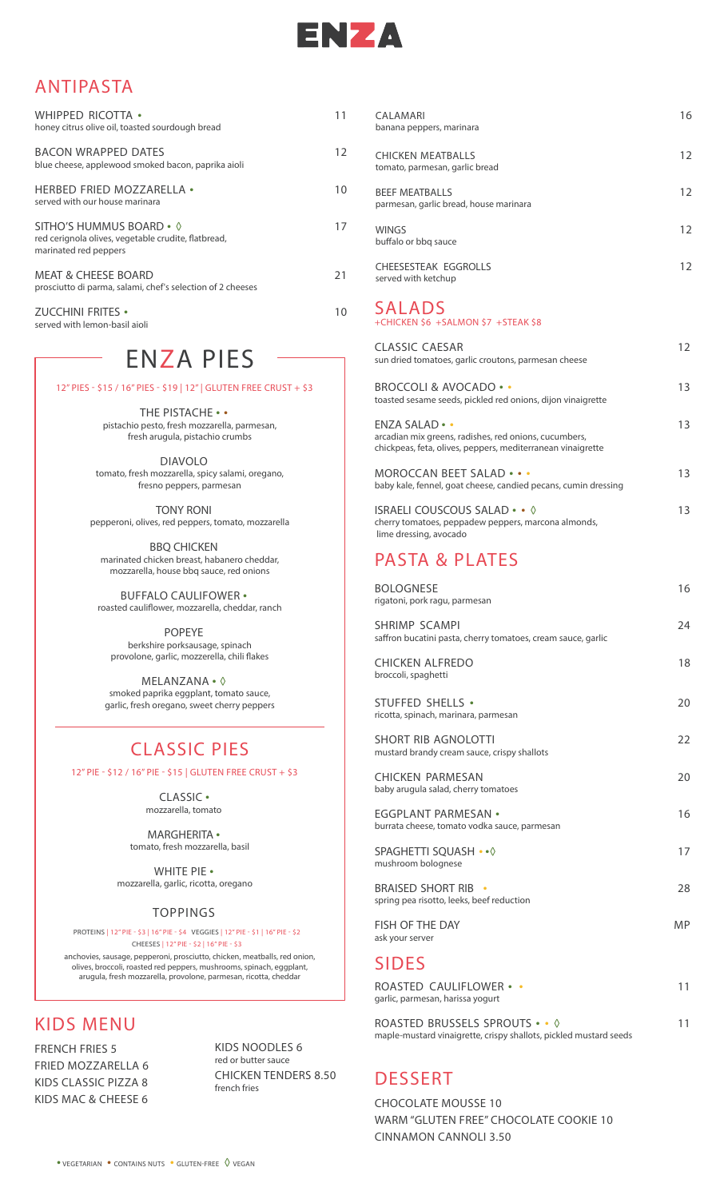

#### ANTIPASTA

| WHIPPED RICOTTA .<br>honey citrus olive oil, toasted sourdough bread                                     | 11 |
|----------------------------------------------------------------------------------------------------------|----|
| <b>BACON WRAPPED DATES</b><br>blue cheese, applewood smoked bacon, paprika aioli                         | 12 |
| <b>HERBED FRIED MOZZARELLA •</b><br>served with our house marinara                                       | 10 |
| SITHO'S HUMMUS BOARD • 0<br>red cerignola olives, vegetable crudite, flatbread,<br>marinated red peppers | 17 |
| <b>MEAT &amp; CHEESE BOARD</b><br>prosciutto di parma, salami, chef's selection of 2 cheeses             | 21 |
| ZUCCHINI FRITES •<br>served with lemon-basil aioli                                                       | 10 |

## ENZA PIES

12" PIES - \$15 / 16" PIES - \$19 | 12" | GLUTEN FREE CRUST + \$3

**THE PISTACHE • •** pistachio pesto, fresh mozzarella, parmesan, fresh arugula, pistachio crumbs

**DIAVOLO** tomato, fresh mozzarella, spicy salami, oregano, fresno peppers, parmesan

**TONY RONI** pepperoni, olives, red peppers, tomato, mozzarella

**BBQ CHICKEN** marinated chicken breast, habanero cheddar, mozzarella, house bbq sauce, red onions

**BUFFALO CAULIFOWER •** roasted cauliflower, mozzarella, cheddar, ranch

**POPEYE** berkshire porksausage, spinach provolone, garlic, mozzerella, chili flakes

**MELANZANA • ◊** smoked paprika eggplant, tomato sauce, garlic, fresh oregano, sweet cherry peppers

### CLASSIC PIES

12" PIE - \$12 / 16" PIE - \$15 | GLUTEN FREE CRUST + \$3

**CLASSIC •** mozzarella, tomato

**MARGHERITA •** tomato, fresh mozzarella, basil

**WHITE PIE •**mozzarella, garlic, ricotta, oregano

#### TOPPINGS

**PROTEINS | 12" PIE - \$3 | 16" PIE - \$4 VEGGIES | 12" PIE - \$1 | 16" PIE - \$2 CHEESES | 12" PIE - \$2 | 16" PIE - \$3**

anchovies, sausage, pepperoni, prosciutto, chicken, meatballs, red onion, olives, broccoli, roasted red peppers, mushrooms, spinach, eggplant, arugula, fresh mozzarella, provolone, parmesan, ricotta, cheddar

#### KIDS MENU

**FRENCH FRIES 5 FRIED MOZZARELLA 6 KIDS CLASSIC PIZZA 8 KIDS MAC & CHEESE 6**

**KIDS NOODLES 6** red or butter sauce **CHICKEN TENDERS 8.50** french fries

| CALAMARI<br>banana peppers, marinara                            | 16 |
|-----------------------------------------------------------------|----|
| <b>CHICKEN MEATBALLS</b><br>tomato, parmesan, garlic bread      | 12 |
| <b>BEEF MEATBALLS</b><br>parmesan, garlic bread, house marinara | 12 |
| <b>WINGS</b><br>buffalo or bbg sauce                            | 12 |
| CHEESESTEAK EGGROLLS<br>served with ketchup                     | 12 |
| 81 8 D C                                                        |    |

#### **SALADS** +CHICKEN \$6 +SALMON \$7 +STEAK \$8

| CLASSIC CAESAR<br>sun dried tomatoes, garlic croutons, parmesan cheese                                                                           | 12  |
|--------------------------------------------------------------------------------------------------------------------------------------------------|-----|
| <b>BROCCOLI &amp; AVOCADO ••</b><br>toasted sesame seeds, pickled red onions, dijon vinaigrette                                                  | 13  |
| $ENZA SALAD \cdot \cdot$<br>arcadian mix greens, radishes, red onions, cucumbers,<br>chickpeas, feta, olives, peppers, mediterranean vinaigrette | 13  |
| MOROCCAN BEET SALAD • • •<br>baby kale, fennel, goat cheese, candied pecans, cumin dressing                                                      | 13. |
| ISRAELI COUSCOUS SALAD $\cdots$ $\Diamond$<br>cherry tomatoes, peppadew peppers, marcona almonds,                                                | 13  |

### PASTA & PLATES

lime dressing, avocado

| <b>BOLOGNESE</b><br>rigatoni, pork ragu, parmesan                                    | 16 |
|--------------------------------------------------------------------------------------|----|
| <b>SHRIMP SCAMPI</b><br>saffron bucatini pasta, cherry tomatoes, cream sauce, garlic | 24 |
| <b>CHICKEN ALFREDO</b><br>broccoli, spaghetti                                        | 18 |
| STUFFED SHELLS .<br>ricotta, spinach, marinara, parmesan                             | 20 |
| <b>SHORT RIB AGNOLOTTI</b><br>mustard brandy cream sauce, crispy shallots            | 22 |
| CHICKEN PARMESAN<br>baby arugula salad, cherry tomatoes                              | 20 |
| <b>EGGPLANT PARMESAN •</b><br>burrata cheese, tomato vodka sauce, parmesan           | 16 |
| SPAGHETTI SQUASH •• 0<br>mushroom bolognese                                          | 17 |
| <b>BRAISED SHORT RIB</b><br>spring pea risotto, leeks, beef reduction                | 28 |
| FISH OF THE DAY<br>ask your server                                                   | MP |
| <b>SIDES</b>                                                                         |    |
| ROASTED CAULIFLOWER • •<br>garlic, parmesan, harissa yogurt                          | 11 |
| $DOACTED$ DDUCCELC CDDOUTC $\lambda$ , $\lambda$                                     | 11 |

**ROASTED BRUSSELS SPROUTS • • ◊ 11** maple-mustard vinaigrette, crispy shallots, pickled mustard seeds

### DESSERT

**CHOCOLATE MOUSSE 10 WARM "GLUTEN FREE" CHOCOLATE COOKIE 10 CINNAMON CANNOLI 3.50**